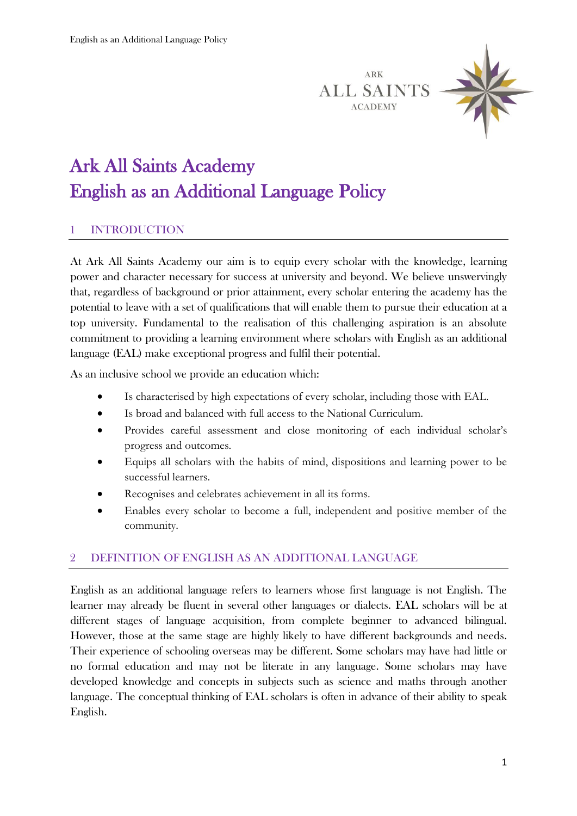ARK **ALL SAINTS ACADEMY** 



# Ark All Saints Academy English as an Additional Language Policy

## 1 INTRODUCTION

At Ark All Saints Academy our aim is to equip every scholar with the knowledge, learning power and character necessary for success at university and beyond. We believe unswervingly that, regardless of background or prior attainment, every scholar entering the academy has the potential to leave with a set of qualifications that will enable them to pursue their education at a top university. Fundamental to the realisation of this challenging aspiration is an absolute commitment to providing a learning environment where scholars with English as an additional language (EAL) make exceptional progress and fulfil their potential.

As an inclusive school we provide an education which:

- Is characterised by high expectations of every scholar, including those with EAL.
- Is broad and balanced with full access to the National Curriculum.
- Provides careful assessment and close monitoring of each individual scholar's progress and outcomes.
- Equips all scholars with the habits of mind, dispositions and learning power to be successful learners.
- Recognises and celebrates achievement in all its forms.
- Enables every scholar to become a full, independent and positive member of the community.

#### 2 DEFINITION OF ENGLISH AS AN ADDITIONAL LANGUAGE

English as an additional language refers to learners whose first language is not English. The learner may already be fluent in several other languages or dialects. EAL scholars will be at different stages of language acquisition, from complete beginner to advanced bilingual. However, those at the same stage are highly likely to have different backgrounds and needs. Their experience of schooling overseas may be different. Some scholars may have had little or no formal education and may not be literate in any language. Some scholars may have developed knowledge and concepts in subjects such as science and maths through another language. The conceptual thinking of EAL scholars is often in advance of their ability to speak English.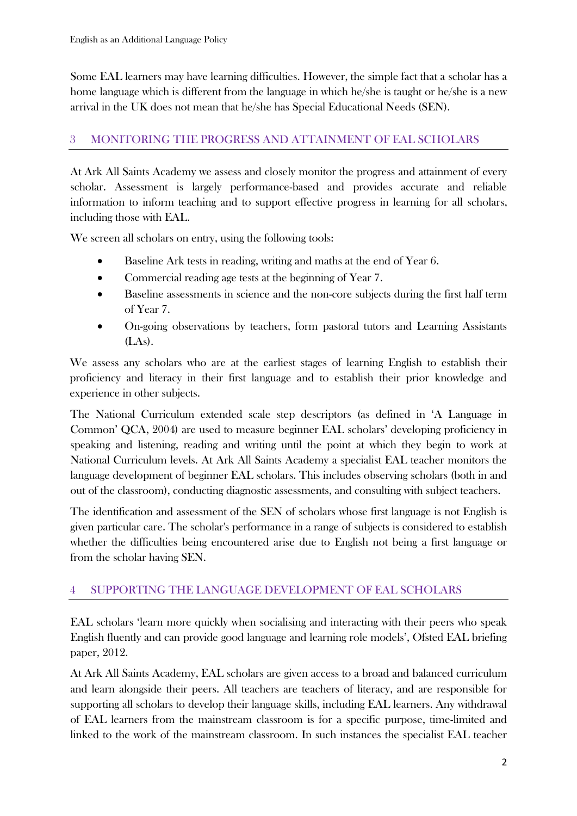Some EAL learners may have learning difficulties. However, the simple fact that a scholar has a home language which is different from the language in which he/she is taught or he/she is a new arrival in the UK does not mean that he/she has Special Educational Needs (SEN).

# 3 MONITORING THE PROGRESS AND ATTAINMENT OF EAL SCHOLARS

At Ark All Saints Academy we assess and closely monitor the progress and attainment of every scholar. Assessment is largely performance-based and provides accurate and reliable information to inform teaching and to support effective progress in learning for all scholars, including those with EAL.

We screen all scholars on entry, using the following tools:

- Baseline Ark tests in reading, writing and maths at the end of Year 6.
- Commercial reading age tests at the beginning of Year 7.
- Baseline assessments in science and the non-core subjects during the first half term of Year 7.
- On-going observations by teachers, form pastoral tutors and Learning Assistants  $(LAs)$ .

We assess any scholars who are at the earliest stages of learning English to establish their proficiency and literacy in their first language and to establish their prior knowledge and experience in other subjects.

The National Curriculum extended scale step descriptors (as defined in 'A Language in Common' QCA, 2004) are used to measure beginner EAL scholars' developing proficiency in speaking and listening, reading and writing until the point at which they begin to work at National Curriculum levels. At Ark All Saints Academy a specialist EAL teacher monitors the language development of beginner EAL scholars. This includes observing scholars (both in and out of the classroom), conducting diagnostic assessments, and consulting with subject teachers.

The identification and assessment of the SEN of scholars whose first language is not English is given particular care. The scholar's performance in a range of subjects is considered to establish whether the difficulties being encountered arise due to English not being a first language or from the scholar having SEN.

## 4 SUPPORTING THE LANGUAGE DEVELOPMENT OF EAL SCHOLARS

EAL scholars 'learn more quickly when socialising and interacting with their peers who speak English fluently and can provide good language and learning role models', Ofsted EAL briefing paper, 2012.

At Ark All Saints Academy, EAL scholars are given access to a broad and balanced curriculum and learn alongside their peers. All teachers are teachers of literacy, and are responsible for supporting all scholars to develop their language skills, including EAL learners. Any withdrawal of EAL learners from the mainstream classroom is for a specific purpose, time-limited and linked to the work of the mainstream classroom. In such instances the specialist EAL teacher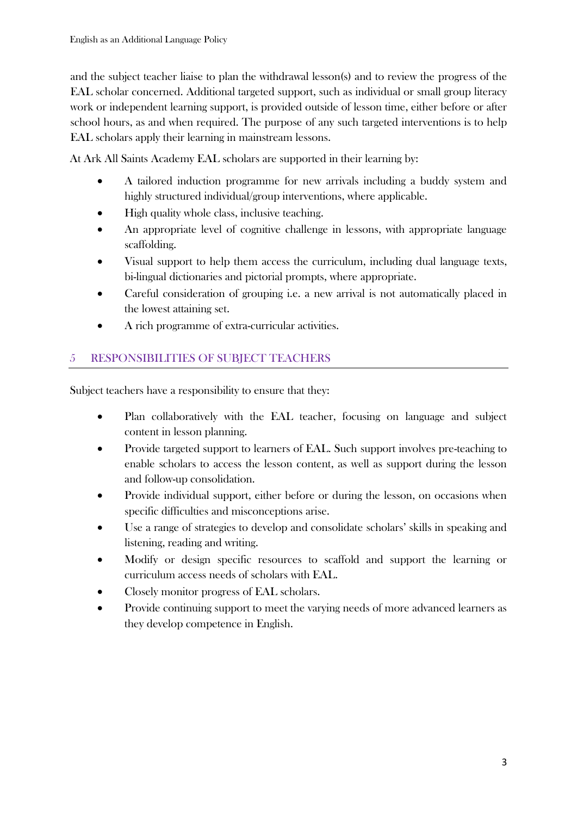and the subject teacher liaise to plan the withdrawal lesson(s) and to review the progress of the EAL scholar concerned. Additional targeted support, such as individual or small group literacy work or independent learning support, is provided outside of lesson time, either before or after school hours, as and when required. The purpose of any such targeted interventions is to help EAL scholars apply their learning in mainstream lessons.

At Ark All Saints Academy EAL scholars are supported in their learning by:

- A tailored induction programme for new arrivals including a buddy system and highly structured individual/group interventions, where applicable.
- High quality whole class, inclusive teaching.
- An appropriate level of cognitive challenge in lessons, with appropriate language scaffolding.
- Visual support to help them access the curriculum, including dual language texts, bi-lingual dictionaries and pictorial prompts, where appropriate.
- Careful consideration of grouping i.e. a new arrival is not automatically placed in the lowest attaining set.
- A rich programme of extra-curricular activities.

# 5 RESPONSIBILITIES OF SUBJECT TEACHERS

Subject teachers have a responsibility to ensure that they:

- Plan collaboratively with the EAL teacher, focusing on language and subject content in lesson planning.
- Provide targeted support to learners of EAL. Such support involves pre-teaching to enable scholars to access the lesson content, as well as support during the lesson and follow-up consolidation.
- Provide individual support, either before or during the lesson, on occasions when specific difficulties and misconceptions arise.
- Use a range of strategies to develop and consolidate scholars' skills in speaking and listening, reading and writing.
- Modify or design specific resources to scaffold and support the learning or curriculum access needs of scholars with EAL.
- Closely monitor progress of EAL scholars.
- Provide continuing support to meet the varying needs of more advanced learners as they develop competence in English.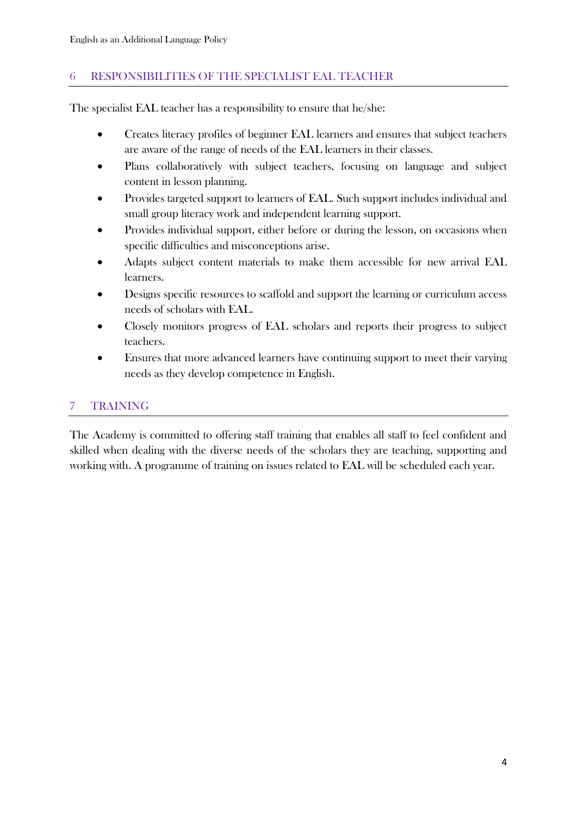# 6 RESPONSIBILITIES OF THE SPECIALIST EAL TEACHER

The specialist EAL teacher has a responsibility to ensure that he/she:

- Creates literacy profiles of beginner EAL learners and ensures that subject teachers are aware of the range of needs of the EAL learners in their classes.
- Plans collaboratively with subject teachers, focusing on language and subject content in lesson planning.
- Provides targeted support to learners of EAL. Such support includes individual and small group literacy work and independent learning support.
- Provides individual support, either before or during the lesson, on occasions when specific difficulties and misconceptions arise.
- Adapts subject content materials to make them accessible for new arrival EAL learners.
- Designs specific resources to scaffold and support the learning or curriculum access needs of scholars with EAL.
- Closely monitors progress of EAL scholars and reports their progress to subject teachers.
- Ensures that more advanced learners have continuing support to meet their varying needs as they develop competence in English.

# 7 TRAINING

The Academy is committed to offering staff training that enables all staff to feel confident and skilled when dealing with the diverse needs of the scholars they are teaching, supporting and working with. A programme of training on issues related to EAL will be scheduled each year.